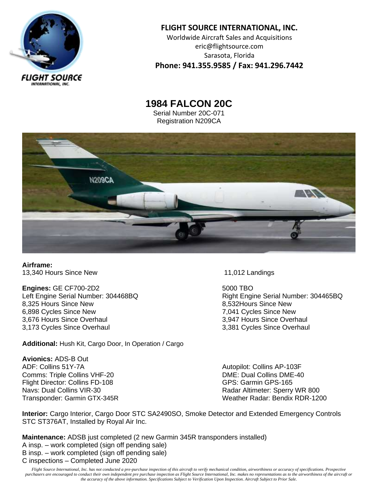

## **FLIGHT SOURCE INTERNATIONAL, INC.** Worldwide Aircraft Sales and Acquisitions eric@flightsource.com Sarasota, Florida **Phone: 941.355.9585 / Fax: 941.296.7442**

**1984 FALCON 20C** Serial Number 20C-071 Registration N209CA



**Airframe:** 13,340 Hours Since New 11,012 Landings

**Engines:** GE CF700-2D2 5000 TBO 8,325 Hours Since New 2012 12:33 and 3,532 Hours Since New 8,532 Hours Since New 6,898 Cycles Since New  $\frac{3.676 \text{ H} \cdot \text{F}}{3.676 \text{ H} \cdot \text{F}}$  7,041 Cycles Since New 3.676 Hours Since Overhaul 3,676 Hours Since Overhaul 3,173 Cycles Since Overhaul 3,381 Cycles Since Overhaul

**Additional:** Hush Kit, Cargo Door, In Operation / Cargo

**Avionics:** ADS-B Out ADF: Collins 51Y-7A Autopilot: Collins AP-103F Comms: Triple Collins VHF-20 DME: Dual Collins DME-40 Flight Director: Collins FD-108 GPS: Garmin GPS-165

Left Engine Serial Number: 304468BQ <br>
Right Engine Serial Number: 304465BQ

Navs: Dual Collins VIR-30 **Radar Altimeter: Sperry WR 800** Transponder: Garmin GTX-345R Weather Radar: Bendix RDR-1200

**Interior:** Cargo Interior, Cargo Door STC SA2490SO, Smoke Detector and Extended Emergency Controls STC ST376AT, Installed by Royal Air Inc.

**Maintenance:** ADSB just completed (2 new Garmin 345R transponders installed) A insp. – work completed (sign off pending sale) B insp. – work completed (sign off pending sale) C inspections – Completed June 2020

*Flight Source International, Inc. has not conducted a pre-purchase inspection of this aircraft to verify mechanical condition, airworthiness or accuracy of specifications. Prospective purchasers are encouraged to conduct their own independent pre purchase inspection as Flight Source International, Inc. makes no representations as to the airworthiness of the aircraft or the accuracy of the above information. Specifications Subject to Verification Upon Inspection. Aircraft Subject to Prior Sale.*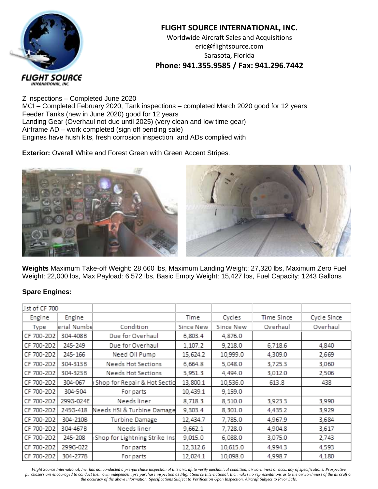

## **FLIGHT SOURCE INTERNATIONAL, INC.** Worldwide Aircraft Sales and Acquisitions eric@flightsource.com Sarasota, Florida

**Phone: 941.355.9585 / Fax: 941.296.7442**

Z inspections – Completed June 2020 MCI – Completed February 2020, Tank inspections – completed March 2020 good for 12 years Feeder Tanks (new in June 2020) good for 12 years Landing Gear (Overhaul not due until 2025) (very clean and low time gear) Airframe AD – work completed (sign off pending sale) Engines have hush kits, fresh corrosion inspection, and ADs complied with

**Exterior:** Overall White and Forest Green with Green Accent Stripes.



**Weights** Maximum Take-off Weight: 28,660 lbs, Maximum Landing Weight: 27,320 lbs, Maximum Zero Fuel Weight: 22,000 lbs, Max Payload: 6,572 lbs, Basic Empty Weight: 15,427 lbs, Fuel Capacity: 1243 Gallons

## **Spare Engines:**

| List of CF 700 |             |                               |           |           |            |             |
|----------------|-------------|-------------------------------|-----------|-----------|------------|-------------|
| Engine         | Engine      |                               | Time      | Cycles    | Time Since | Cycle Since |
| Type           | erial Numbe | Condition                     | Since New | Since New | Overhaul   | Overhaul    |
| CF 700-2D2     | 304-408B    | Due for Overhaul              | 6,803.4   | 4,876.0   |            |             |
| CF 700-2D2     | 245-249     | Due for Overhaul              | 1,107.2   | 9,218.0   | 6,718.6    | 4,840       |
| CF 700-2D2     | 245-166     | Need Oil Pump                 | 15,624.2  | 10,999.0  | 4,309.0    | 2,669       |
| CF 700-2D2     | 304-313B    | Needs Hot Sections            | 6,664.8   | 5,048.0   | 3,725.3    | 3,060       |
| CF 700-2D2     | 304-323B    | Needs Hot Sections            | 5,951.3   | 4,494.0   | 3,012.0    | 2,506       |
| CF 700-2D2     | 304-067     | Shop for Repair & Hot Sectio  | 13,800.1  | 10,536.0  | 613.8      | 438         |
| CF 700-2D2     | 304-504     | For parts                     | 10,439.1  | 9,159.0   |            |             |
| CF 700-2D2     | 299G-024E   | Needs liner                   | 8,718.3   | 8,510.0   | 3,923.3    | 3,990       |
| CF 700-2D2     | 245G-418    | Needs HSI & Turbine Damage    | 9,303.4   | 8,301.0   | 4,435.2    | 3,929       |
| CF 700-2D2     | 304-210B    | Turbine Damage                | 12,434.7  | 7,785.0   | 4,967.9    | 3,684       |
| CF 700-2D2     | 304-467B    | Needs liner                   | 9,662.1   | 7,728.0   | 4,904.8    | 3,617       |
| CF 700-2D2     | 245-208     | Shop for Lightning Strike Ins | 9,015.0   | 6,088.0   | 3,075.0    | 2,743       |
| CF 700-2D2     | 299G-022    | For parts                     | 12,312.6  | 10,615.0  | 4,994.3    | 4,593       |
| CF 700-2D2     | 304-277B    | For parts                     | 12,024.1  | 10,098.0  | 4,998.7    | 4,180       |

*Flight Source International, Inc. has not conducted a pre-purchase inspection of this aircraft to verify mechanical condition, airworthiness or accuracy of specifications. Prospective purchasers are encouraged to conduct their own independent pre purchase inspection as Flight Source International, Inc. makes no representations as to the airworthiness of the aircraft or the accuracy of the above information. Specifications Subject to Verification Upon Inspection. Aircraft Subject to Prior Sale.*